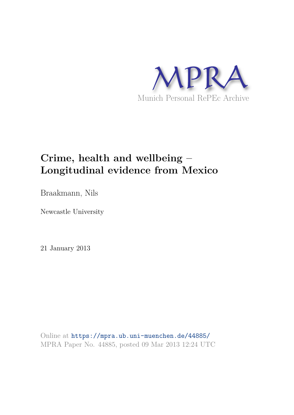

# **Crime, health and wellbeing – Longitudinal evidence from Mexico**

Braakmann, Nils

Newcastle University

21 January 2013

Online at https://mpra.ub.uni-muenchen.de/44885/ MPRA Paper No. 44885, posted 09 Mar 2013 12:24 UTC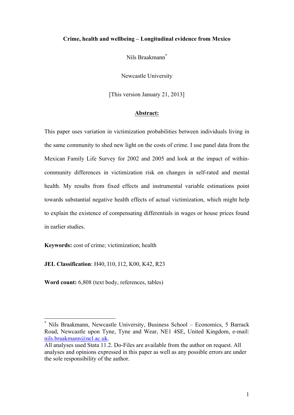#### **Crime, health and wellbeing – Longitudinal evidence from Mexico**

Nils Braakmann\*

Newcastle University

[This version January 21, 2013]

#### **Abstract:**

This paper uses variation in victimization probabilities between individuals living in the same community to shed new light on the costs of crime. I use panel data from the Mexican Family Life Survey for 2002 and 2005 and look at the impact of withincommunity differences in victimization risk on changes in self-rated and mental health. My results from fixed effects and instrumental variable estimations point towards substantial negative health effects of actual victimization, which might help to explain the existence of compensating differentials in wages or house prices found in earlier studies.

**Keywords:** cost of crime; victimization; health

**JEL Classification**: H40, I10, I12, K00, K42, R23

**Word count:** 6,808 (text body, references, tables)

<u> 1989 - Johann Barn, mars ann an t-Aonaich an t-Aonaich an t-Aonaich an t-Aonaich ann an t-Aonaich ann an t-Ao</u>

<sup>\*</sup> Nils Braakmann, Newcastle University, Business School – Economics, 5 Barrack Road, Newcastle upon Tyne, Tyne and Wear, NE1 4SE, United Kingdom, e-mail: nils.braakmann@ncl.ac.uk.

All analyses used Stata 11.2. Do-Files are available from the author on request. All analyses and opinions expressed in this paper as well as any possible errors are under the sole responsibility of the author.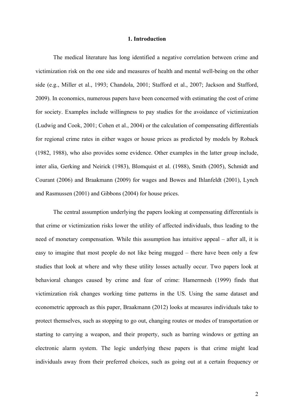#### **1. Introduction**

The medical literature has long identified a negative correlation between crime and victimization risk on the one side and measures of health and mental well-being on the other side (e.g., Miller et al., 1993; Chandola, 2001; Stafford et al., 2007; Jackson and Stafford, 2009). In economics, numerous papers have been concerned with estimating the cost of crime for society. Examples include willingness to pay studies for the avoidance of victimization (Ludwig and Cook, 2001; Cohen et al., 2004) or the calculation of compensating differentials for regional crime rates in either wages or house prices as predicted by models by Roback (1982, 1988), who also provides some evidence. Other examples in the latter group include, inter alia, Gerking and Neirick (1983), Blomquist et al. (1988), Smith (2005), Schmidt and Courant (2006) and Braakmann (2009) for wages and Bowes and Ihlanfeldt (2001), Lynch and Rasmussen (2001) and Gibbons (2004) for house prices.

The central assumption underlying the papers looking at compensating differentials is that crime or victimization risks lower the utility of affected individuals, thus leading to the need of monetary compensation. While this assumption has intuitive appeal – after all, it is easy to imagine that most people do not like being mugged – there have been only a few studies that look at where and why these utility losses actually occur. Two papers look at behavioral changes caused by crime and fear of crime: Hamermesh (1999) finds that victimization risk changes working time patterns in the US. Using the same dataset and econometric approach as this paper, Braakmann (2012) looks at measures individuals take to protect themselves, such as stopping to go out, changing routes or modes of transportation or starting to carrying a weapon, and their property, such as barring windows or getting an electronic alarm system. The logic underlying these papers is that crime might lead individuals away from their preferred choices, such as going out at a certain frequency or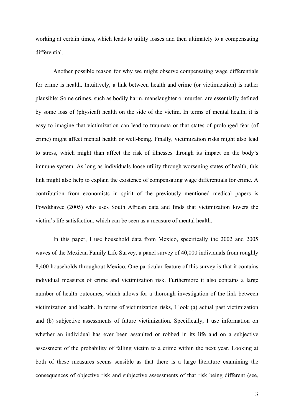working at certain times, which leads to utility losses and then ultimately to a compensating differential.

Another possible reason for why we might observe compensating wage differentials for crime is health. Intuitively, a link between health and crime (or victimization) is rather plausible: Some crimes, such as bodily harm, manslaughter or murder, are essentially defined by some loss of (physical) health on the side of the victim. In terms of mental health, it is easy to imagine that victimization can lead to traumata or that states of prolonged fear (of crime) might affect mental health or well-being. Finally, victimization risks might also lead to stress, which might than affect the risk of illnesses through its impact on the body's immune system. As long as individuals loose utility through worsening states of health, this link might also help to explain the existence of compensating wage differentials for crime. A contribution from economists in spirit of the previously mentioned medical papers is Powdthavee (2005) who uses South African data and finds that victimization lowers the victim's life satisfaction, which can be seen as a measure of mental health.

In this paper, I use household data from Mexico, specifically the 2002 and 2005 waves of the Mexican Family Life Survey, a panel survey of 40,000 individuals from roughly 8,400 households throughout Mexico. One particular feature of this survey is that it contains individual measures of crime and victimization risk. Furthermore it also contains a large number of health outcomes, which allows for a thorough investigation of the link between victimization and health. In terms of victimization risks, I look (a) actual past victimization and (b) subjective assessments of future victimization. Specifically, I use information on whether an individual has ever been assaulted or robbed in its life and on a subjective assessment of the probability of falling victim to a crime within the next year. Looking at both of these measures seems sensible as that there is a large literature examining the consequences of objective risk and subjective assessments of that risk being different (see,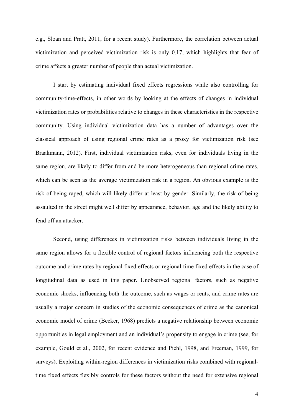e.g., Sloan and Pratt, 2011, for a recent study). Furthermore, the correlation between actual victimization and perceived victimization risk is only 0.17, which highlights that fear of crime affects a greater number of people than actual victimization.

I start by estimating individual fixed effects regressions while also controlling for community-time-effects, in other words by looking at the effects of changes in individual victimization rates or probabilities relative to changes in these characteristics in the respective community. Using individual victimization data has a number of advantages over the classical approach of using regional crime rates as a proxy for victimization risk (see Braakmann, 2012). First, individual victimization risks, even for individuals living in the same region, are likely to differ from and be more heterogeneous than regional crime rates, which can be seen as the average victimization risk in a region. An obvious example is the risk of being raped, which will likely differ at least by gender. Similarly, the risk of being assaulted in the street might well differ by appearance, behavior, age and the likely ability to fend off an attacker.

Second, using differences in victimization risks between individuals living in the same region allows for a flexible control of regional factors influencing both the respective outcome and crime rates by regional fixed effects or regional-time fixed effects in the case of longitudinal data as used in this paper. Unobserved regional factors, such as negative economic shocks, influencing both the outcome, such as wages or rents, and crime rates are usually a major concern in studies of the economic consequences of crime as the canonical economic model of crime (Becker, 1968) predicts a negative relationship between economic opportunities in legal employment and an individual's propensity to engage in crime (see, for example, Gould et al., 2002, for recent evidence and Piehl, 1998, and Freeman, 1999, for surveys). Exploiting within-region differences in victimization risks combined with regionaltime fixed effects flexibly controls for these factors without the need for extensive regional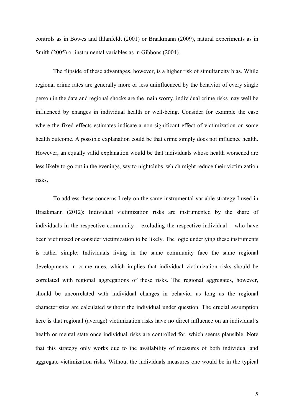controls as in Bowes and Ihlanfeldt (2001) or Braakmann (2009), natural experiments as in Smith (2005) or instrumental variables as in Gibbons (2004).

The flipside of these advantages, however, is a higher risk of simultaneity bias. While regional crime rates are generally more or less uninfluenced by the behavior of every single person in the data and regional shocks are the main worry, individual crime risks may well be influenced by changes in individual health or well-being. Consider for example the case where the fixed effects estimates indicate a non-significant effect of victimization on some health outcome. A possible explanation could be that crime simply does not influence health. However, an equally valid explanation would be that individuals whose health worsened are less likely to go out in the evenings, say to nightclubs, which might reduce their victimization risks.

To address these concerns I rely on the same instrumental variable strategy I used in Braakmann (2012): Individual victimization risks are instrumented by the share of individuals in the respective community – excluding the respective individual – who have been victimized or consider victimization to be likely. The logic underlying these instruments is rather simple: Individuals living in the same community face the same regional developments in crime rates, which implies that individual victimization risks should be correlated with regional aggregations of these risks. The regional aggregates, however, should be uncorrelated with individual changes in behavior as long as the regional characteristics are calculated without the individual under question. The crucial assumption here is that regional (average) victimization risks have no direct influence on an individual's health or mental state once individual risks are controlled for, which seems plausible. Note that this strategy only works due to the availability of measures of both individual and aggregate victimization risks. Without the individuals measures one would be in the typical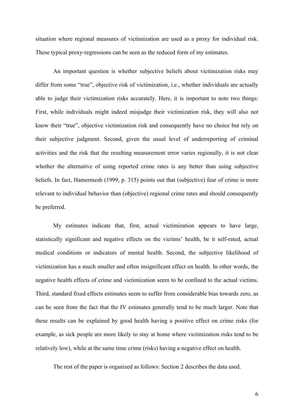situation where regional measures of victimization are used as a proxy for individual risk. These typical proxy-regressions can be seen as the reduced form of my estimates.

An important question is whether subjective beliefs about victimization risks may differ from some "true", objective risk of victimization, i.e., whether individuals are actually able to judge their victimization risks accurately. Here, it is important to note two things: First, while individuals might indeed misjudge their victimization risk, they will also not know their "true", objective victimization risk and consequently have no choice but rely on their subjective judgment. Second, given the usual level of underreporting of criminal activities and the risk that the resulting measurement error varies regionally, it is not clear whether the alternative of using reported crime rates is any better than using subjective beliefs. In fact, Hamermesh (1999, p. 315) points out that (subjective) fear of crime is more relevant to individual behavior than (objective) regional crime rates and should consequently be preferred.

My estimates indicate that, first, actual victimization appears to have large, statistically significant and negative effects on the victims' health, be it self-rated, actual medical conditions or indicators of mental health. Second, the subjective likelihood of victimization has a much smaller and often insignificant effect on health. In other words, the negative health effects of crime and victimization seem to be confined to the actual victims. Third, standard fixed effects estimates seem to suffer from considerable bias towards zero, as can be seen from the fact that the IV estimates generally tend to be much larger. Note that these results can be explained by good health having a positive effect on crime risks (for example, as sick people are more likely to stay at home where victimization risks tend to be relatively low), while at the same time crime (risks) having a negative effect on health.

The rest of the paper is organized as follows: Section 2 describes the data used.

6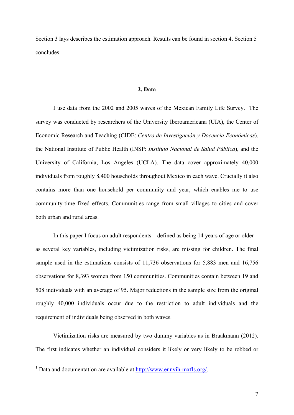Section 3 lays describes the estimation approach. Results can be found in section 4. Section 5 concludes.

#### **2. Data**

I use data from the 2002 and 2005 waves of the Mexican Family Life Survey.<sup>1</sup> The survey was conducted by researchers of the University Iberoamericana (UIA), the Center of Economic Research and Teaching (CIDE: *Centro de Investigación y Docencia Económicas*), the National Institute of Public Health (INSP: *Instituto Nacional de Salud Pública*), and the University of California, Los Angeles (UCLA). The data cover approximately 40,000 individuals from roughly 8,400 households throughout Mexico in each wave. Crucially it also contains more than one household per community and year, which enables me to use community-time fixed effects. Communities range from small villages to cities and cover both urban and rural areas.

In this paper I focus on adult respondents – defined as being 14 years of age or older – as several key variables, including victimization risks, are missing for children. The final sample used in the estimations consists of 11,736 observations for 5,883 men and 16,756 observations for 8,393 women from 150 communities. Communities contain between 19 and 508 individuals with an average of 95. Major reductions in the sample size from the original roughly 40,000 individuals occur due to the restriction to adult individuals and the requirement of individuals being observed in both waves.

Victimization risks are measured by two dummy variables as in Braakmann (2012). The first indicates whether an individual considers it likely or very likely to be robbed or

<u> 1989 - Johann Barnett, fransk politiker (</u>

<sup>&</sup>lt;sup>1</sup> Data and documentation are available at  $\frac{http://www.ennvih-mxfls.org/}{http://www.ennvih-mxfls.org/}.$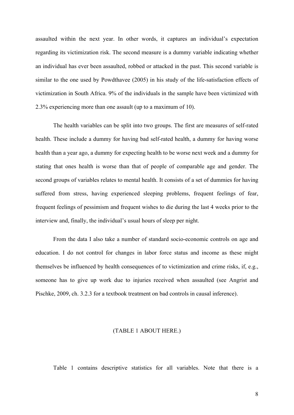assaulted within the next year. In other words, it captures an individual's expectation regarding its victimization risk. The second measure is a dummy variable indicating whether an individual has ever been assaulted, robbed or attacked in the past. This second variable is similar to the one used by Powdthavee (2005) in his study of the life-satisfaction effects of victimization in South Africa. 9% of the individuals in the sample have been victimized with 2.3% experiencing more than one assault (up to a maximum of 10).

The health variables can be split into two groups. The first are measures of self-rated health. These include a dummy for having bad self-rated health, a dummy for having worse health than a year ago, a dummy for expecting health to be worse next week and a dummy for stating that ones health is worse than that of people of comparable age and gender. The second groups of variables relates to mental health. It consists of a set of dummies for having suffered from stress, having experienced sleeping problems, frequent feelings of fear, frequent feelings of pessimism and frequent wishes to die during the last 4 weeks prior to the interview and, finally, the individual's usual hours of sleep per night.

From the data I also take a number of standard socio-economic controls on age and education. I do not control for changes in labor force status and income as these might themselves be influenced by health consequences of to victimization and crime risks, if, e.g., someone has to give up work due to injuries received when assaulted (see Angrist and Pischke, 2009, ch. 3.2.3 for a textbook treatment on bad controls in causal inference).

#### (TABLE 1 ABOUT HERE.)

Table 1 contains descriptive statistics for all variables. Note that there is a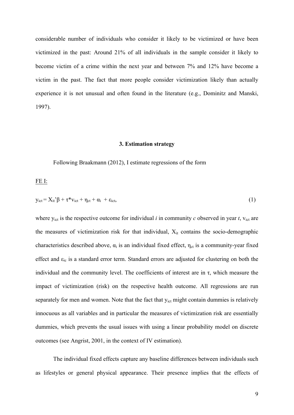considerable number of individuals who consider it likely to be victimized or have been victimized in the past: Around 21% of all individuals in the sample consider it likely to become victim of a crime within the next year and between 7% and 12% have become a victim in the past. The fact that more people consider victimization likely than actually experience it is not unusual and often found in the literature (e.g., Dominitz and Manski, 1997).

#### **3. Estimation strategy**

Following Braakmann (2012), I estimate regressions of the form

FE I:

$$
y_{ict} = X_{it}^{\dagger} \beta + \tau^* v_{ict} + \eta_{ct} + \alpha_i + \varepsilon_{ict}, \tag{1}
$$

where  $y_{\text{ict}}$  is the respective outcome for individual *i* in community *c* observed in year *t*,  $y_{\text{ict}}$  are the measures of victimization risk for that individual,  $X_{it}$  contains the socio-demographic characteristics described above,  $\alpha_i$  is an individual fixed effect,  $\eta_{ct}$  is a community-year fixed effect and  $\varepsilon_{ic}$  is a standard error term. Standard errors are adjusted for clustering on both the individual and the community level. The coefficients of interest are in  $\tau$ , which measure the impact of victimization (risk) on the respective health outcome. All regressions are run separately for men and women. Note that the fact that  $y_{\text{ict}}$  might contain dummies is relatively innocuous as all variables and in particular the measures of victimization risk are essentially dummies, which prevents the usual issues with using a linear probability model on discrete outcomes (see Angrist, 2001, in the context of IV estimation).

The individual fixed effects capture any baseline differences between individuals such as lifestyles or general physical appearance. Their presence implies that the effects of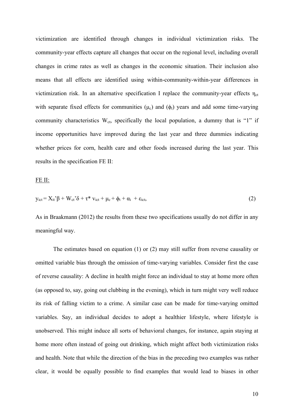victimization are identified through changes in individual victimization risks. The community-year effects capture all changes that occur on the regional level, including overall changes in crime rates as well as changes in the economic situation. Their inclusion also means that all effects are identified using within-community-within-year differences in victimization risk. In an alternative specification I replace the community-year effects  $\eta_{ct}$ with separate fixed effects for communities  $(\mu_c)$  and  $(\phi_t)$  years and add some time-varying community characteristics  $W_{ct}$ , specifically the local population, a dummy that is "1" if income opportunities have improved during the last year and three dummies indicating whether prices for corn, health care and other foods increased during the last year. This results in the specification FE II:

#### FE II:

$$
y_{ict} = X_{it}^{\dagger} \beta + W_{ct}^{\dagger} \delta + \tau^* v_{ict} + \mu_c + \phi_t + \alpha_i + \varepsilon_{ict}, \tag{2}
$$

As in Braakmann (2012) the results from these two specifications usually do not differ in any meaningful way.

The estimates based on equation (1) or (2) may still suffer from reverse causality or omitted variable bias through the omission of time-varying variables. Consider first the case of reverse causality: A decline in health might force an individual to stay at home more often (as opposed to, say, going out clubbing in the evening), which in turn might very well reduce its risk of falling victim to a crime. A similar case can be made for time-varying omitted variables. Say, an individual decides to adopt a healthier lifestyle, where lifestyle is unobserved. This might induce all sorts of behavioral changes, for instance, again staying at home more often instead of going out drinking, which might affect both victimization risks and health. Note that while the direction of the bias in the preceding two examples was rather clear, it would be equally possible to find examples that would lead to biases in other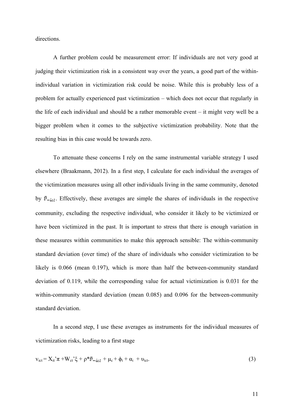directions.

A further problem could be measurement error: If individuals are not very good at judging their victimization risk in a consistent way over the years, a good part of the withinindividual variation in victimization risk could be noise. While this is probably less of a problem for actually experienced past victimization – which does not occur that regularly in the life of each individual and should be a rather memorable event – it might very well be a bigger problem when it comes to the subjective victimization probability. Note that the resulting bias in this case would be towards zero.

To attenuate these concerns I rely on the same instrumental variable strategy I used elsewhere (Braakmann, 2012). In a first step, I calculate for each individual the averages of the victimization measures using all other individuals living in the same community, denoted by  $\bar{v}_{-ict}$ . Effectively, these averages are simple the shares of individuals in the respective community, excluding the respective individual, who consider it likely to be victimized or have been victimized in the past. It is important to stress that there is enough variation in these measures within communities to make this approach sensible: The within-community standard deviation (over time) of the share of individuals who consider victimization to be likely is 0.066 (mean 0.197), which is more than half the between-community standard deviation of 0.119, while the corresponding value for actual victimization is 0.031 for the within-community standard deviation (mean 0.085) and 0.096 for the between-community standard deviation.

In a second step, I use these averages as instruments for the individual measures of victimization risks, leading to a first stage

$$
v_{\rm{ict}} = X_{\rm{it}}^{\prime} \pi + W_{\rm{ct}}^{\prime} \xi + \rho^* \bar{v}_{\rm{-(ct)}} + \mu_{\rm{c}} + \phi_{\rm{t}} + \alpha_{\rm{i}} + v_{\rm{ict}}.
$$
\n(3)

11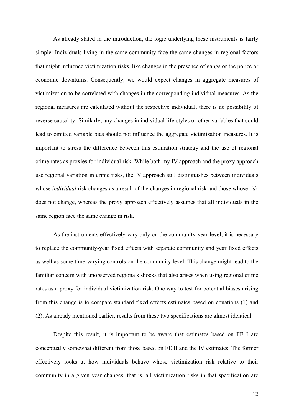As already stated in the introduction, the logic underlying these instruments is fairly simple: Individuals living in the same community face the same changes in regional factors that might influence victimization risks, like changes in the presence of gangs or the police or economic downturns. Consequently, we would expect changes in aggregate measures of victimization to be correlated with changes in the corresponding individual measures. As the regional measures are calculated without the respective individual, there is no possibility of reverse causality. Similarly, any changes in individual life-styles or other variables that could lead to omitted variable bias should not influence the aggregate victimization measures. It is important to stress the difference between this estimation strategy and the use of regional crime rates as proxies for individual risk. While both my IV approach and the proxy approach use regional variation in crime risks, the IV approach still distinguishes between individuals whose *individual* risk changes as a result of the changes in regional risk and those whose risk does not change, whereas the proxy approach effectively assumes that all individuals in the same region face the same change in risk.

As the instruments effectively vary only on the community-year-level, it is necessary to replace the community-year fixed effects with separate community and year fixed effects as well as some time-varying controls on the community level. This change might lead to the familiar concern with unobserved regionals shocks that also arises when using regional crime rates as a proxy for individual victimization risk. One way to test for potential biases arising from this change is to compare standard fixed effects estimates based on equations (1) and (2). As already mentioned earlier, results from these two specifications are almost identical.

Despite this result, it is important to be aware that estimates based on FE I are conceptually somewhat different from those based on FE II and the IV estimates. The former effectively looks at how individuals behave whose victimization risk relative to their community in a given year changes, that is, all victimization risks in that specification are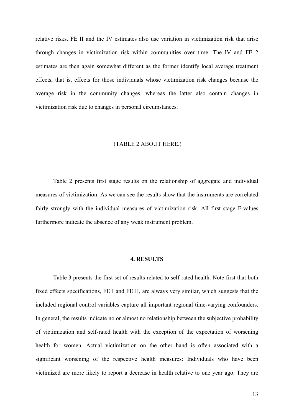relative risks. FE II and the IV estimates also use variation in victimization risk that arise through changes in victimization risk within communities over time. The IV and FE 2 estimates are then again somewhat different as the former identify local average treatment effects, that is, effects for those individuals whose victimization risk changes because the average risk in the community changes, whereas the latter also contain changes in victimization risk due to changes in personal circumstances.

#### (TABLE 2 ABOUT HERE.)

Table 2 presents first stage results on the relationship of aggregate and individual measures of victimization. As we can see the results show that the instruments are correlated fairly strongly with the individual measures of victimization risk. All first stage F-values furthermore indicate the absence of any weak instrument problem.

#### **4. RESULTS**

Table 3 presents the first set of results related to self-rated health. Note first that both fixed effects specifications, FE I and FE II, are always very similar, which suggests that the included regional control variables capture all important regional time-varying confounders. In general, the results indicate no or almost no relationship between the subjective probability of victimization and self-rated health with the exception of the expectation of worsening health for women. Actual victimization on the other hand is often associated with a significant worsening of the respective health measures: Individuals who have been victimized are more likely to report a decrease in health relative to one year ago. They are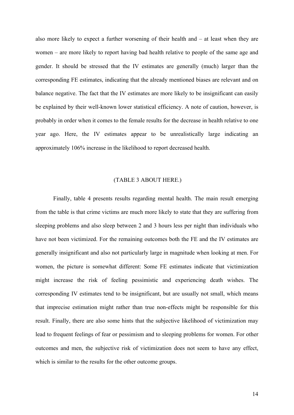also more likely to expect a further worsening of their health and – at least when they are women – are more likely to report having bad health relative to people of the same age and gender. It should be stressed that the IV estimates are generally (much) larger than the corresponding FE estimates, indicating that the already mentioned biases are relevant and on balance negative. The fact that the IV estimates are more likely to be insignificant can easily be explained by their well-known lower statistical efficiency. A note of caution, however, is probably in order when it comes to the female results for the decrease in health relative to one year ago. Here, the IV estimates appear to be unrealistically large indicating an approximately 106% increase in the likelihood to report decreased health.

## (TABLE 3 ABOUT HERE.)

Finally, table 4 presents results regarding mental health. The main result emerging from the table is that crime victims are much more likely to state that they are suffering from sleeping problems and also sleep between 2 and 3 hours less per night than individuals who have not been victimized. For the remaining outcomes both the FE and the IV estimates are generally insignificant and also not particularly large in magnitude when looking at men. For women, the picture is somewhat different: Some FE estimates indicate that victimization might increase the risk of feeling pessimistic and experiencing death wishes. The corresponding IV estimates tend to be insignificant, but are usually not small, which means that imprecise estimation might rather than true non-effects might be responsible for this result. Finally, there are also some hints that the subjective likelihood of victimization may lead to frequent feelings of fear or pessimism and to sleeping problems for women. For other outcomes and men, the subjective risk of victimization does not seem to have any effect, which is similar to the results for the other outcome groups.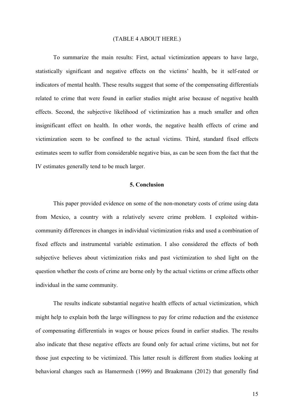#### (TABLE 4 ABOUT HERE.)

To summarize the main results: First, actual victimization appears to have large, statistically significant and negative effects on the victims' health, be it self-rated or indicators of mental health. These results suggest that some of the compensating differentials related to crime that were found in earlier studies might arise because of negative health effects. Second, the subjective likelihood of victimization has a much smaller and often insignificant effect on health. In other words, the negative health effects of crime and victimization seem to be confined to the actual victims. Third, standard fixed effects estimates seem to suffer from considerable negative bias, as can be seen from the fact that the IV estimates generally tend to be much larger.

#### **5. Conclusion**

This paper provided evidence on some of the non-monetary costs of crime using data from Mexico, a country with a relatively severe crime problem. I exploited withincommunity differences in changes in individual victimization risks and used a combination of fixed effects and instrumental variable estimation. I also considered the effects of both subjective believes about victimization risks and past victimization to shed light on the question whether the costs of crime are borne only by the actual victims or crime affects other individual in the same community.

The results indicate substantial negative health effects of actual victimization, which might help to explain both the large willingness to pay for crime reduction and the existence of compensating differentials in wages or house prices found in earlier studies. The results also indicate that these negative effects are found only for actual crime victims, but not for those just expecting to be victimized. This latter result is different from studies looking at behavioral changes such as Hamermesh (1999) and Braakmann (2012) that generally find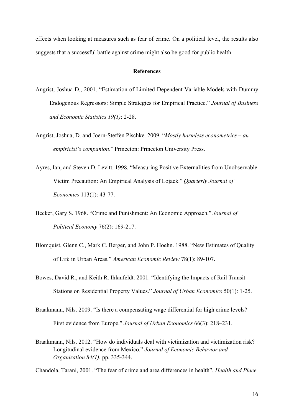effects when looking at measures such as fear of crime. On a political level, the results also suggests that a successful battle against crime might also be good for public health.

#### **References**

- Angrist, Joshua D., 2001. "Estimation of Limited-Dependent Variable Models with Dummy Endogenous Regressors: Simple Strategies for Empirical Practice." *Journal of Business and Economic Statistics 19(1)*: 2-28.
- Angrist, Joshua, D. and Joern-Steffen Pischke. 2009. "*Mostly harmless econometrics an empiricist's companion*." Princeton: Princeton University Press.
- Ayres, Ian, and Steven D. Levitt. 1998. "Measuring Positive Externalities from Unobservable Victim Precaution: An Empirical Analysis of Lojack." *Quarterly Journal of Economics* 113(1): 43-77.
- Becker, Gary S. 1968. "Crime and Punishment: An Economic Approach." *Journal of Political Economy* 76(2): 169-217.
- Blomquist, Glenn C., Mark C. Berger, and John P. Hoehn. 1988. "New Estimates of Quality of Life in Urban Areas." *American Economic Review* 78(1): 89-107.
- Bowes, David R., and Keith R. Ihlanfeldt. 2001. "Identifying the Impacts of Rail Transit Stations on Residential Property Values." *Journal of Urban Economics* 50(1): 1-25.
- Braakmann, Nils. 2009. "Is there a compensating wage differential for high crime levels? First evidence from Europe." *Journal of Urban Economics* 66(3): 218–231.
- Braakmann, Nils. 2012. "How do individuals deal with victimization and victimization risk? Longitudinal evidence from Mexico." *Journal of Economic Behavior and Organization 84(1)*, pp. 335-344.

Chandola, Tarani, 2001. "The fear of crime and area differences in health", *Health and Place*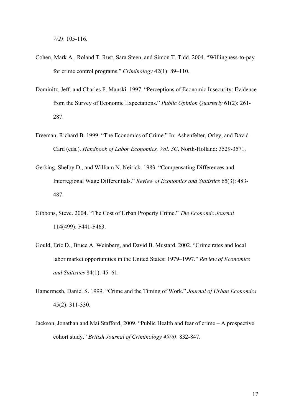- Cohen, Mark A., Roland T. Rust, Sara Steen, and Simon T. Tidd. 2004. "Willingness-to-pay for crime control programs." *Criminology* 42(1): 89–110.
- Dominitz, Jeff, and Charles F. Manski. 1997. "Perceptions of Economic Insecurity: Evidence from the Survey of Economic Expectations." *Public Opinion Quarterly* 61(2): 261- 287.
- Freeman, Richard B. 1999. "The Economics of Crime." In: Ashenfelter, Orley, and David Card (eds.). *Handbook of Labor Economics, Vol. 3C*. North-Holland: 3529-3571.
- Gerking, Shelby D., and William N. Neirick. 1983. "Compensating Differences and Interregional Wage Differentials." *Review of Economics and Statistics* 65(3): 483- 487.
- Gibbons, Steve. 2004. "The Cost of Urban Property Crime." *The Economic Journal* 114(499): F441-F463.
- Gould, Eric D., Bruce A. Weinberg, and David B. Mustard. 2002. "Crime rates and local labor market opportunities in the United States: 1979–1997." *Review of Economics and Statistics* 84(1): 45–61.
- Hamermesh, Daniel S. 1999. "Crime and the Timing of Work." *Journal of Urban Economics* 45(2): 311-330.
- Jackson, Jonathan and Mai Stafford, 2009. "Public Health and fear of crime A prospective cohort study." *British Journal of Criminology 49(6)*: 832-847.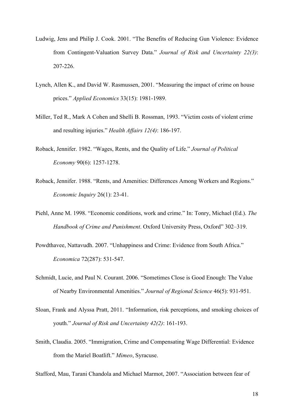- Ludwig, Jens and Philip J. Cook. 2001. "The Benefits of Reducing Gun Violence: Evidence from Contingent-Valuation Survey Data." *Journal of Risk and Uncertainty 22(3)*: 207-226.
- Lynch, Allen K., and David W. Rasmussen, 2001. "Measuring the impact of crime on house prices." *Applied Economics* 33(15): 1981-1989.
- Miller, Ted R., Mark A Cohen and Shelli B. Rossman, 1993. "Victim costs of violent crime and resulting injuries." *Health Affairs 12(4)*: 186-197.
- Roback, Jennifer. 1982. "Wages, Rents, and the Quality of Life." *Journal of Political Economy* 90(6): 1257-1278.
- Roback, Jennifer. 1988. "Rents, and Amenities: Differences Among Workers and Regions." *Economic Inquiry* 26(1): 23-41.
- Piehl, Anne M. 1998. "Economic conditions, work and crime." In: Tonry, Michael (Ed.). *The Handbook of Crime and Punishment*. Oxford University Press, Oxford" 302–319.
- Powdthavee, Nattavudh. 2007. "Unhappiness and Crime: Evidence from South Africa." *Economica* 72(287): 531-547.
- Schmidt, Lucie, and Paul N. Courant. 2006. "Sometimes Close is Good Enough: The Value of Nearby Environmental Amenities." *Journal of Regional Science* 46(5): 931-951.
- Sloan, Frank and Alyssa Pratt, 2011. "Information, risk perceptions, and smoking choices of youth." *Journal of Risk and Uncertainty 42(2)*: 161-193.
- Smith, Claudia. 2005. "Immigration, Crime and Compensating Wage Differential: Evidence from the Mariel Boatlift." *Mimeo*, Syracuse.

Stafford, Mau, Tarani Chandola and Michael Marmot, 2007. "Association between fear of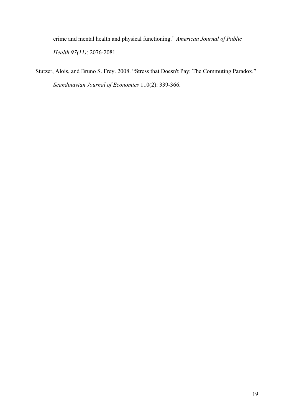crime and mental health and physical functioning." *American Journal of Public Health 97(11)*: 2076-2081.

Stutzer, Alois, and Bruno S. Frey. 2008. "Stress that Doesn't Pay: The Commuting Paradox." *Scandinavian Journal of Economics* 110(2): 339-366.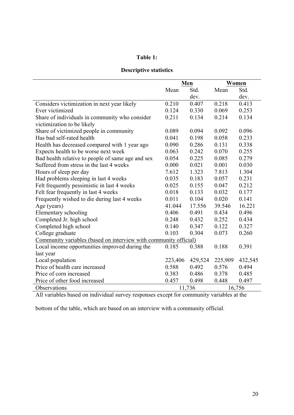# **Table 1:**

# **Descriptive statistics**

|                                                                  | Men     |         | Women   |         |  |  |  |
|------------------------------------------------------------------|---------|---------|---------|---------|--|--|--|
|                                                                  | Mean    | Std.    | Mean    | Std.    |  |  |  |
|                                                                  |         | dev.    |         | dev.    |  |  |  |
| Considers victimization in next year likely                      | 0.210   | 0.407   | 0.218   | 0.413   |  |  |  |
| Ever victimized                                                  | 0.124   | 0.330   | 0.069   | 0.253   |  |  |  |
| Share of individuals in community who consider                   | 0.211   | 0.134   | 0.214   | 0.134   |  |  |  |
| victimization to be likely                                       |         |         |         |         |  |  |  |
| Share of victimized people in community                          | 0.089   | 0.094   | 0.092   | 0.096   |  |  |  |
| Has bad self-rated health                                        | 0.041   | 0.198   | 0.058   | 0.233   |  |  |  |
| Health has decreased compared with 1 year ago                    | 0.090   | 0.286   | 0.131   | 0.338   |  |  |  |
| Expects health to be worse next week                             | 0.063   | 0.242   | 0.070   | 0.255   |  |  |  |
| Bad health relative to people of same age and sex                | 0.054   | 0.225   | 0.085   | 0.279   |  |  |  |
| Suffered from stress in the last 4 weeks                         | 0.000   | 0.021   | 0.001   | 0.030   |  |  |  |
| Hours of sleep per day                                           | 7.612   | 1.323   | 7.813   | 1.304   |  |  |  |
| Had problems sleeping in last 4 weeks                            | 0.035   | 0.183   | 0.057   | 0.231   |  |  |  |
| Felt frequently pessimistic in last 4 weeks                      | 0.025   | 0.155   | 0.047   | 0.212   |  |  |  |
| Felt fear frequently in last 4 weeks                             | 0.018   | 0.133   | 0.032   | 0.177   |  |  |  |
| Frequently wished to die during last 4 weeks                     | 0.011   | 0.104   | 0.020   | 0.141   |  |  |  |
| Age (years)                                                      | 41.044  | 17.556  | 39.546  | 16.221  |  |  |  |
| Elementary schooling                                             | 0.406   | 0.491   | 0.434   | 0.496   |  |  |  |
| Completed Jr. high school                                        | 0.248   | 0.432   | 0.252   | 0.434   |  |  |  |
| Completed high school                                            | 0.140   | 0.347   | 0.122   | 0.327   |  |  |  |
| College graduate                                                 | 0.103   | 0.304   | 0.073   | 0.260   |  |  |  |
| Community variables (based on interview with community official) |         |         |         |         |  |  |  |
| Local income opportunities improved during the                   | 0.185   | 0.388   | 0.188   | 0.391   |  |  |  |
| last year                                                        |         |         |         |         |  |  |  |
| Local population                                                 | 223,406 | 429,524 | 225,909 | 432,545 |  |  |  |
| Price of health care increased                                   | 0.588   | 0.492   | 0.576   | 0.494   |  |  |  |
| Price of corn increased                                          | 0.383   | 0.486   | 0.378   | 0.485   |  |  |  |
| Price of other food increased                                    | 0.457   | 0.498   | 0.448   | 0.497   |  |  |  |
| Observations                                                     | 11,736  |         | 16,756  |         |  |  |  |

All variables based on individual survey responses except for community variables at the

bottom of the table, which are based on an interview with a community official.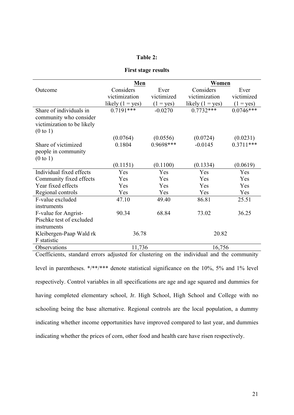# **Table 2:**

## **First stage results**

|                            | Men                |             | Women              |             |  |  |
|----------------------------|--------------------|-------------|--------------------|-------------|--|--|
| Outcome                    | Considers          | Ever        | Considers          | Ever        |  |  |
|                            | victimization      | victimized  | victimization      | victimized  |  |  |
|                            | likely $(1 = yes)$ | $(1 = yes)$ | likely $(1 = yes)$ | $(1 = yes)$ |  |  |
| Share of individuals in    | $0.7191***$        | $-0.0270$   | $0.7732***$        | $0.0746***$ |  |  |
| community who consider     |                    |             |                    |             |  |  |
| victimization to be likely |                    |             |                    |             |  |  |
| $(0 \text{ to } 1)$        |                    |             |                    |             |  |  |
|                            | (0.0764)           | (0.0556)    | (0.0724)           | (0.0231)    |  |  |
| Share of victimized        | 0.1804             | 0.9698***   | $-0.0145$          | $0.3711***$ |  |  |
| people in community        |                    |             |                    |             |  |  |
| $(0 \text{ to } 1)$        |                    |             |                    |             |  |  |
|                            | (0.1151)           | (0.1100)    | (0.1334)           | (0.0619)    |  |  |
| Individual fixed effects   | Yes                | Yes         | Yes                | Yes         |  |  |
| Community fixed effects    | Yes                | Yes         | Yes                | Yes         |  |  |
| Year fixed effects         | Yes                | Yes         | Yes                | Yes         |  |  |
| Regional controls          | Yes                | Yes         | Yes                | Yes         |  |  |
| F-value excluded           | 47.10              | 49.40       | 86.81              | 25.51       |  |  |
| instruments                |                    |             |                    |             |  |  |
| F-value for Angrist-       | 90.34              | 68.84       | 73.02              | 36.25       |  |  |
| Pischke test of excluded   |                    |             |                    |             |  |  |
| instruments                |                    |             |                    |             |  |  |
| Kleibergen-Paap Wald rk    | 36.78              |             | 20.82              |             |  |  |
| F statistic                |                    |             |                    |             |  |  |
| Observations               | 11,736             |             | 16,756             |             |  |  |

Coefficients, standard errors adjusted for clustering on the individual and the community level in parentheses. \*/\*\*/\*\*\* denote statistical significance on the 10%, 5% and 1% level respectively. Control variables in all specifications are age and age squared and dummies for having completed elementary school, Jr. High School, High School and College with no schooling being the base alternative. Regional controls are the local population, a dummy indicating whether income opportunities have improved compared to last year, and dummies indicating whether the prices of corn, other food and health care have risen respectively.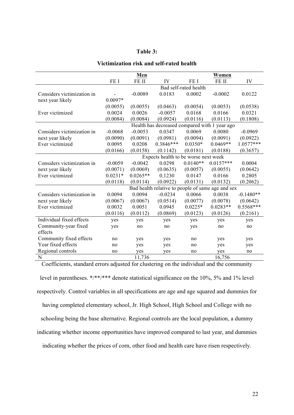# **Table 3:**

# **Victimization risk and self-rated health**

|                            |                                                   | Men        |             |                 | Women       |             |
|----------------------------|---------------------------------------------------|------------|-------------|-----------------|-------------|-------------|
|                            | FE I                                              | FE II      | IV          | FE <sub>I</sub> | FE II       | IV          |
|                            | Bad self-rated health                             |            |             |                 |             |             |
| Considers victimization in |                                                   | $-0.0089$  | 0.0183      | 0.0002          | $-0.0002$   | 0.0122      |
| next year likely           | $0.0097*$                                         |            |             |                 |             |             |
|                            | (0.0055)                                          | (0.0055)   | (0.0463)    | (0.0054)        | (0.0053)    | (0.0538)    |
| Ever victimized            | 0.0024                                            | 0.0026     | $-0.0057$   | 0.0168          | 0.0166      | 0.0321      |
|                            | (0.0084)                                          | (0.0084)   | (0.0924)    | (0.0116)        | (0.0113)    | (0.1808)    |
|                            | Health has decreased compared with 1 year ago     |            |             |                 |             |             |
| Considers victimization in | $-0.0068$                                         | $-0.0053$  | 0.0347      | 0.0069          | 0.0080      | $-0.0969$   |
| next year likely           | (0.0090)                                          | (0.0091)   | (0.0981)    | (0.0094)        | (0.0091)    | (0.0922)    |
| Ever victimized            | 0.0095                                            | 0.0208     | $0.3846***$ | $0.0350*$       | $0.0469**$  | $1.0577***$ |
|                            | (0.0166)                                          | (0.0158)   | (0.1142)    | (0.0181)        | (0.0188)    | (0.3657)    |
|                            | Expects health to be worse next week              |            |             |                 |             |             |
| Considers victimization in | $-0.0059$                                         | $-0.0042$  | 0.0298      | $0.0140**$      | $0.0157***$ | 0.0004      |
| next year likely           | (0.0071)                                          | (0.0069)   | (0.0635)    | (0.0057)        | (0.0055)    | (0.0642)    |
| Ever victimized            | $0.0231*$                                         | $0.0265**$ | 0.1230      | 0.0147          | 0.0166      | 0.2805      |
|                            | (0.0118)                                          | (0.0114)   | (0.0922)    | (0.0131)        | (0.0132)    | (0.2062)    |
|                            | Bad health relative to people of same age and sex |            |             |                 |             |             |
| Considers victimization in | 0.0094                                            | 0.0094     | $-0.0234$   | 0.0066          | 0.0038      | $-0.1480**$ |
| next year likely           | (0.0067)                                          | (0.0067)   | (0.0514)    | (0.0077)        | (0.0078)    | (0.0642)    |
| Ever victimized            | 0.0032                                            | 0.0051     | 0.0945      | $0.0225*$       | $0.0283**$  | $0.5568***$ |
|                            | (0.0116)                                          | (0.0112)   | (0.0869)    | (0.0123)        | (0.0126)    | (0.2161)    |
| Individual fixed effects   | yes                                               | yes        | yes         | yes             | yes         | yes         |
| Community-year fixed       | yes                                               | no         | no          | yes             | no          | no          |
| effects                    |                                                   |            |             |                 |             |             |
| Community fixed effects    | no                                                | yes        | yes         | no              | yes         | yes         |
| Year fixed effects         | no                                                | yes        | yes         | no              | yes         | yes         |
| Regional controls          | no                                                | yes        | yes         | no              | yes         | no          |
| $\mathbf N$                |                                                   | 11,736     |             |                 | 16,756      |             |

Coefficients, standard errors adjusted for clustering on the individual and the community level in parentheses. \*/\*\*/\*\*\* denote statistical significance on the 10%, 5% and 1% level respectively. Control variables in all specifications are age and age squared and dummies for having completed elementary school, Jr. High School, High School and College with no schooling being the base alternative. Regional controls are the local population, a dummy indicating whether income opportunities have improved compared to last year, and dummies indicating whether the prices of corn, other food and health care have risen respectively.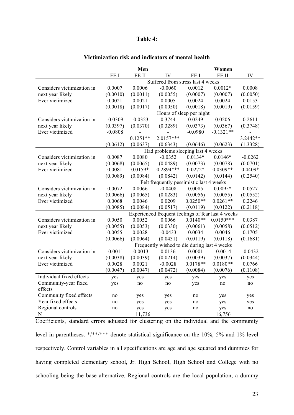## **Table 4:**

|                            |                                              | Men        |                                                    |            | Women       |           |
|----------------------------|----------------------------------------------|------------|----------------------------------------------------|------------|-------------|-----------|
|                            | FE I                                         | FE II      | IV                                                 | FE I       | FE II       | IV        |
|                            | Suffered from stress last 4 weeks            |            |                                                    |            |             |           |
| Considers victimization in | 0.0007                                       | 0.0006     | $-0.0060$                                          | 0.0012     | $0.0012*$   | 0.0008    |
| next year likely           | (0.0010)                                     | (0.0011)   | (0.0055)                                           | (0.0007)   | (0.0007)    | (0.0050)  |
| Ever victimized            | 0.0021                                       | 0.0021     | 0.0005                                             | 0.0024     | 0.0024      | 0.0153    |
|                            | (0.0018)                                     | (0.0017)   | (0.0050)                                           | (0.0018)   | (0.0019)    | (0.0159)  |
|                            | Hours of sleep per night                     |            |                                                    |            |             |           |
| Considers victimization in | $-0.0309$                                    | $-0.0323$  | 0.3744                                             | 0.0249     | 0.0206      | 0.2611    |
| next year likely           | (0.0397)                                     | (0.0370)   | (0.3289)                                           | (0.0373)   | (0.0367)    | (0.3748)  |
| Ever victimized            | $-0.0808$                                    |            |                                                    | $-0.0980$  | $-0.1321**$ |           |
|                            |                                              | $0.1251**$ | 2.0157***                                          |            |             | 3.2442**  |
|                            | (0.0612)                                     | (0.0637)   | (0.6343)                                           | (0.0646)   | (0.0623)    | (1.3328)  |
|                            |                                              |            | Had problems sleeping last 4 weeks                 |            |             |           |
| Considers victimization in | 0.0087                                       | 0.0080     | $-0.0352$                                          | $0.0134*$  | $0.0146*$   | $-0.0262$ |
| next year likely           | (0.0068)                                     | (0.0065)   | (0.0489)                                           | (0.0073)   | (0.0078)    | (0.0701)  |
| Ever victimized            | 0.0081                                       | $0.0159*$  | 0.2894 ***                                         | $0.0272*$  | $0.0309**$  | $0.4409*$ |
|                            | (0.0089)                                     | (0.0084)   | (0.0842)                                           | (0.0142)   | (0.0144)    | (0.2540)  |
|                            |                                              |            | Felt frequently pessimistic last 4 weeks           |            |             |           |
| Considers victimization in | 0.0072                                       | 0.0066     | $-0.0408$                                          | 0.0085     | $0.0095*$   | 0.0527    |
| next year likely           | (0.0066)                                     | (0.0065)   | (0.0283)                                           | (0.0056)   | (0.0055)    | (0.0552)  |
| Ever victimized            | 0.0068                                       | 0.0046     | 0.0209                                             | $0.0250**$ | $0.0261**$  | 0.2246    |
|                            | (0.0085)                                     | (0.0084)   | (0.0517)                                           | (0.0119)   | (0.0122)    | (0.2118)  |
|                            |                                              |            | Experienced frequent feelings of fear last 4 weeks |            |             |           |
| Considers victimization in | 0.0050                                       | 0.0052     | 0.0066                                             | $0.0140**$ | $0.0150***$ | 0.0387    |
| next year likely           | (0.0055)                                     | (0.0053)   | (0.0330)                                           | (0.0061)   | (0.0058)    | (0.0512)  |
| Ever victimized            | 0.0055                                       | 0.0028     | $-0.0433$                                          | 0.0034     | 0.0046      | 0.1705    |
|                            | (0.0066)                                     | (0.0064)   | (0.0431)                                           | (0.0119)   | (0.0118)    | (0.1681)  |
|                            | Frequently wished to die during last 4 weeks |            |                                                    |            |             |           |
| Considers victimization in | $-0.0011$                                    | $-0.0013$  | 0.0136                                             | 0.0001     | $-0.0014$   | $-0.0432$ |
| next year likely           | (0.0038)                                     | (0.0039)   | (0.0214)                                           | (0.0039)   | (0.0037)    | (0.0344)  |
| Ever victimized            | 0.0028                                       | 0.0021     | $-0.0028$                                          | $0.0178**$ | $0.0180**$  | 0.0766    |
|                            | (0.0047)                                     | (0.0047)   | (0.0472)                                           | (0.0084)   | (0.0076)    | (0.1108)  |
| Individual fixed effects   | yes                                          | yes        | yes                                                | yes        | yes         | yes       |
| Community-year fixed       | yes                                          | no         | no                                                 | yes        | no          | no        |
| effects                    |                                              |            |                                                    |            |             |           |
| Community fixed effects    | no                                           | yes        | yes                                                | no         | yes         | yes       |
| Year fixed effects         | no                                           | yes        | yes                                                | no         | yes         | yes       |
| Regional controls          | no                                           | yes        | yes                                                | no         | yes         | no        |
| $\mathbf N$                |                                              | 11,736     |                                                    |            | 16,756      |           |

# **Victimization risk and indicators of mental health**

Coefficients, standard errors adjusted for clustering on the individual and the community level in parentheses. \*/\*\*/\*\*\* denote statistical significance on the 10%, 5% and 1% level respectively. Control variables in all specifications are age and age squared and dummies for having completed elementary school, Jr. High School, High School and College with no schooling being the base alternative. Regional controls are the local population, a dummy